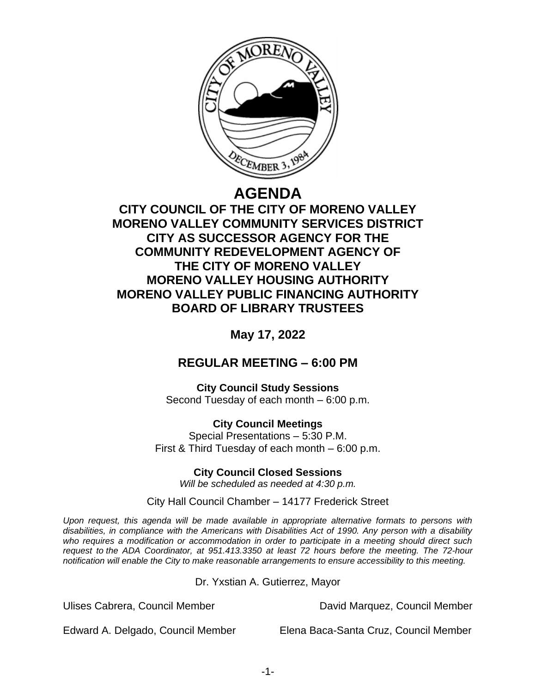

# **AGENDA**

## **CITY COUNCIL OF THE CITY OF MORENO VALLEY MORENO VALLEY COMMUNITY SERVICES DISTRICT CITY AS SUCCESSOR AGENCY FOR THE COMMUNITY REDEVELOPMENT AGENCY OF THE CITY OF MORENO VALLEY MORENO VALLEY HOUSING AUTHORITY MORENO VALLEY PUBLIC FINANCING AUTHORITY BOARD OF LIBRARY TRUSTEES**

**May 17, 2022**

## **REGULAR MEETING – 6:00 PM**

**City Council Study Sessions** Second Tuesday of each month – 6:00 p.m.

**City Council Meetings** Special Presentations – 5:30 P.M. First & Third Tuesday of each month – 6:00 p.m.

**City Council Closed Sessions**

*Will be scheduled as needed at 4:30 p.m.*

City Hall Council Chamber – 14177 Frederick Street

*Upon request, this agenda will be made available in appropriate alternative formats to persons with disabilities, in compliance with the Americans with Disabilities Act of 1990. Any person with a disability who requires a modification or accommodation in order to participate in a meeting should direct such request to the ADA Coordinator, at 951.413.3350 at least 72 hours before the meeting. The 72-hour notification will enable the City to make reasonable arrangements to ensure accessibility to this meeting.*

Dr. Yxstian A. Gutierrez, Mayor

Ulises Cabrera, Council Member David Marquez, Council Member

Edward A. Delgado, Council Member Elena Baca-Santa Cruz, Council Member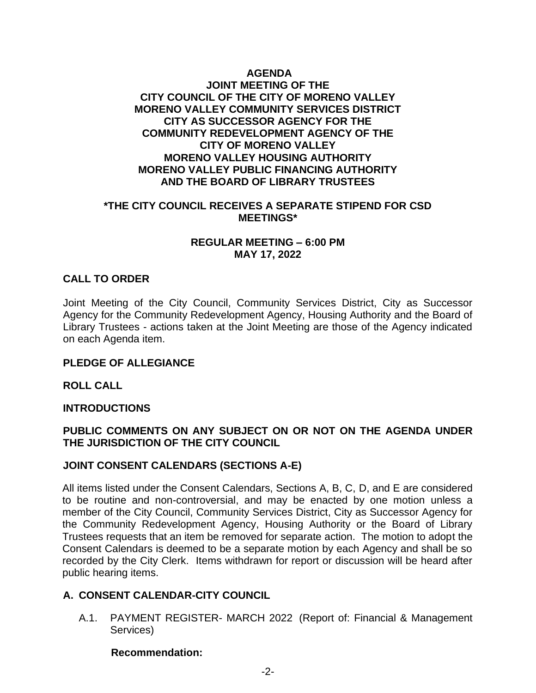## .**AGENDA JOINT MEETING OF THE CITY COUNCIL OF THE CITY OF MORENO VALLEY MORENO VALLEY COMMUNITY SERVICES DISTRICT CITY AS SUCCESSOR AGENCY FOR THE COMMUNITY REDEVELOPMENT AGENCY OF THE CITY OF MORENO VALLEY MORENO VALLEY HOUSING AUTHORITY MORENO VALLEY PUBLIC FINANCING AUTHORITY AND THE BOARD OF LIBRARY TRUSTEES**

#### **\*THE CITY COUNCIL RECEIVES A SEPARATE STIPEND FOR CSD MEETINGS\***

#### **REGULAR MEETING – 6:00 PM MAY 17, 2022**

## **CALL TO ORDER**

Joint Meeting of the City Council, Community Services District, City as Successor Agency for the Community Redevelopment Agency, Housing Authority and the Board of Library Trustees - actions taken at the Joint Meeting are those of the Agency indicated on each Agenda item.

## **PLEDGE OF ALLEGIANCE**

**ROLL CALL**

## **INTRODUCTIONS**

## **PUBLIC COMMENTS ON ANY SUBJECT ON OR NOT ON THE AGENDA UNDER THE JURISDICTION OF THE CITY COUNCIL**

## **JOINT CONSENT CALENDARS (SECTIONS A-E)**

All items listed under the Consent Calendars, Sections A, B, C, D, and E are considered to be routine and non-controversial, and may be enacted by one motion unless a member of the City Council, Community Services District, City as Successor Agency for the Community Redevelopment Agency, Housing Authority or the Board of Library Trustees requests that an item be removed for separate action. The motion to adopt the Consent Calendars is deemed to be a separate motion by each Agency and shall be so recorded by the City Clerk. Items withdrawn for report or discussion will be heard after public hearing items.

## **A. CONSENT CALENDAR-CITY COUNCIL**

A.1. PAYMENT REGISTER- MARCH 2022 (Report of: Financial & Management Services)

#### **Recommendation:**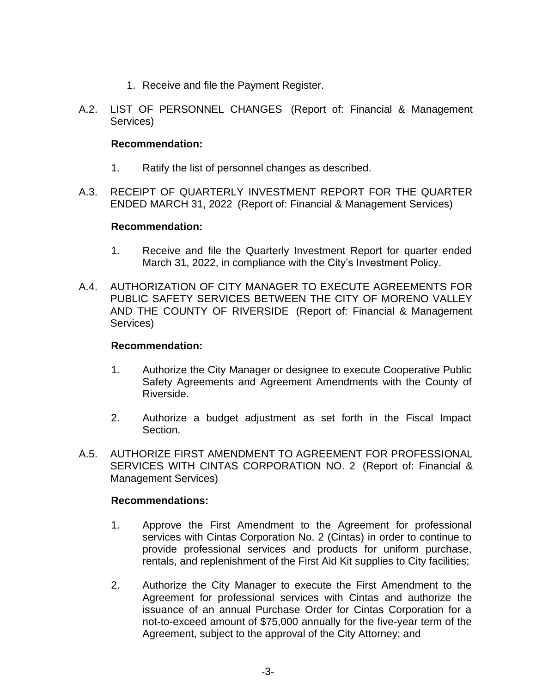- 1. Receive and file the Payment Register.
- A.2. LIST OF PERSONNEL CHANGES (Report of: Financial & Management Services)

#### **Recommendation:**

- 1. Ratify the list of personnel changes as described.
- A.3. RECEIPT OF QUARTERLY INVESTMENT REPORT FOR THE QUARTER ENDED MARCH 31, 2022 (Report of: Financial & Management Services)

#### **Recommendation:**

- 1. Receive and file the Quarterly Investment Report for quarter ended March 31, 2022, in compliance with the City's Investment Policy.
- A.4. AUTHORIZATION OF CITY MANAGER TO EXECUTE AGREEMENTS FOR PUBLIC SAFETY SERVICES BETWEEN THE CITY OF MORENO VALLEY AND THE COUNTY OF RIVERSIDE (Report of: Financial & Management Services)

#### **Recommendation:**

- 1. Authorize the City Manager or designee to execute Cooperative Public Safety Agreements and Agreement Amendments with the County of Riverside.
- 2. Authorize a budget adjustment as set forth in the Fiscal Impact Section.
- A.5. AUTHORIZE FIRST AMENDMENT TO AGREEMENT FOR PROFESSIONAL SERVICES WITH CINTAS CORPORATION NO. 2 (Report of: Financial & Management Services)

#### **Recommendations:**

- 1. Approve the First Amendment to the Agreement for professional services with Cintas Corporation No. 2 (Cintas) in order to continue to provide professional services and products for uniform purchase, rentals, and replenishment of the First Aid Kit supplies to City facilities;
- 2. Authorize the City Manager to execute the First Amendment to the Agreement for professional services with Cintas and authorize the issuance of an annual Purchase Order for Cintas Corporation for a not-to-exceed amount of \$75,000 annually for the five-year term of the Agreement, subject to the approval of the City Attorney; and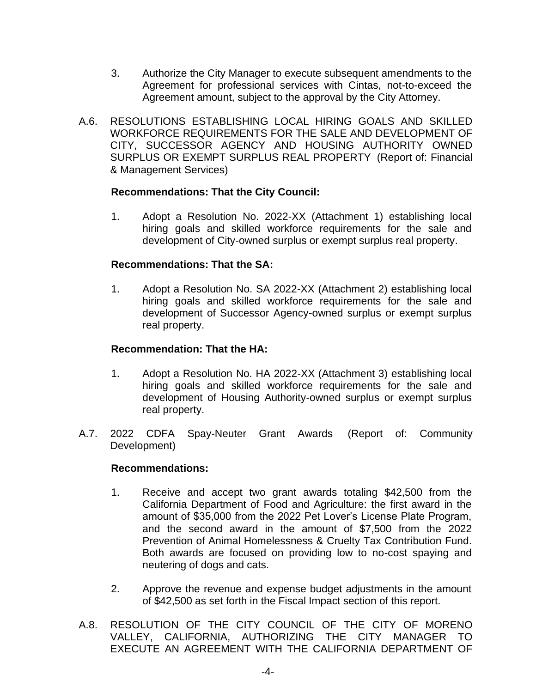- 3. Authorize the City Manager to execute subsequent amendments to the Agreement for professional services with Cintas, not-to-exceed the Agreement amount, subject to the approval by the City Attorney.
- A.6. RESOLUTIONS ESTABLISHING LOCAL HIRING GOALS AND SKILLED WORKFORCE REQUIREMENTS FOR THE SALE AND DEVELOPMENT OF CITY, SUCCESSOR AGENCY AND HOUSING AUTHORITY OWNED SURPLUS OR EXEMPT SURPLUS REAL PROPERTY (Report of: Financial & Management Services)

#### **Recommendations: That the City Council:**

1. Adopt a Resolution No. 2022-XX (Attachment 1) establishing local hiring goals and skilled workforce requirements for the sale and development of City-owned surplus or exempt surplus real property.

#### **Recommendations: That the SA:**

1. Adopt a Resolution No. SA 2022-XX (Attachment 2) establishing local hiring goals and skilled workforce requirements for the sale and development of Successor Agency-owned surplus or exempt surplus real property.

#### **Recommendation: That the HA:**

- 1. Adopt a Resolution No. HA 2022-XX (Attachment 3) establishing local hiring goals and skilled workforce requirements for the sale and development of Housing Authority-owned surplus or exempt surplus real property.
- A.7. 2022 CDFA Spay-Neuter Grant Awards (Report of: Community Development)

#### **Recommendations:**

- 1. Receive and accept two grant awards totaling \$42,500 from the California Department of Food and Agriculture: the first award in the amount of \$35,000 from the 2022 Pet Lover's License Plate Program, and the second award in the amount of \$7,500 from the 2022 Prevention of Animal Homelessness & Cruelty Tax Contribution Fund. Both awards are focused on providing low to no-cost spaying and neutering of dogs and cats.
- 2. Approve the revenue and expense budget adjustments in the amount of \$42,500 as set forth in the Fiscal Impact section of this report.
- A.8. RESOLUTION OF THE CITY COUNCIL OF THE CITY OF MORENO VALLEY, CALIFORNIA, AUTHORIZING THE CITY MANAGER TO EXECUTE AN AGREEMENT WITH THE CALIFORNIA DEPARTMENT OF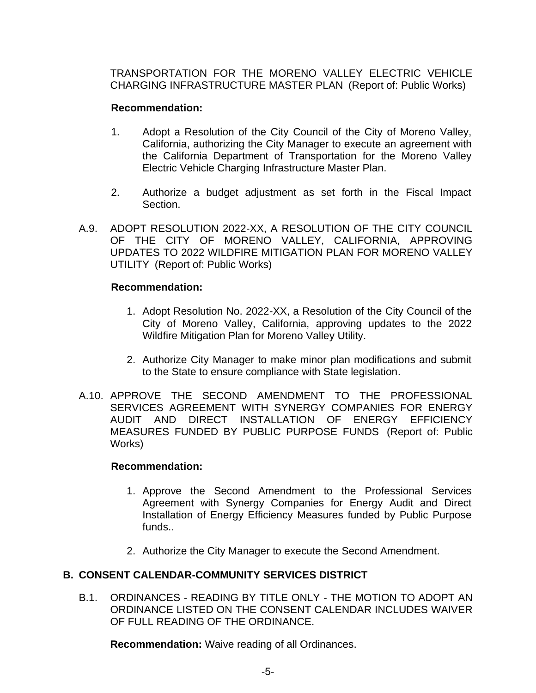TRANSPORTATION FOR THE MORENO VALLEY ELECTRIC VEHICLE CHARGING INFRASTRUCTURE MASTER PLAN (Report of: Public Works)

## **Recommendation:**

- 1. Adopt a Resolution of the City Council of the City of Moreno Valley, California, authorizing the City Manager to execute an agreement with the California Department of Transportation for the Moreno Valley Electric Vehicle Charging Infrastructure Master Plan.
- 2. Authorize a budget adjustment as set forth in the Fiscal Impact Section.
- A.9. ADOPT RESOLUTION 2022-XX, A RESOLUTION OF THE CITY COUNCIL OF THE CITY OF MORENO VALLEY, CALIFORNIA, APPROVING UPDATES TO 2022 WILDFIRE MITIGATION PLAN FOR MORENO VALLEY UTILITY (Report of: Public Works)

## **Recommendation:**

- 1. Adopt Resolution No. 2022-XX, a Resolution of the City Council of the City of Moreno Valley, California, approving updates to the 2022 Wildfire Mitigation Plan for Moreno Valley Utility.
- 2. Authorize City Manager to make minor plan modifications and submit to the State to ensure compliance with State legislation.
- A.10. APPROVE THE SECOND AMENDMENT TO THE PROFESSIONAL SERVICES AGREEMENT WITH SYNERGY COMPANIES FOR ENERGY AUDIT AND DIRECT INSTALLATION OF ENERGY EFFICIENCY MEASURES FUNDED BY PUBLIC PURPOSE FUNDS (Report of: Public Works)

## **Recommendation:**

- 1. Approve the Second Amendment to the Professional Services Agreement with Synergy Companies for Energy Audit and Direct Installation of Energy Efficiency Measures funded by Public Purpose funds..
- 2. Authorize the City Manager to execute the Second Amendment.

## **B. CONSENT CALENDAR-COMMUNITY SERVICES DISTRICT**

B.1. ORDINANCES - READING BY TITLE ONLY - THE MOTION TO ADOPT AN ORDINANCE LISTED ON THE CONSENT CALENDAR INCLUDES WAIVER OF FULL READING OF THE ORDINANCE.

**Recommendation:** Waive reading of all Ordinances.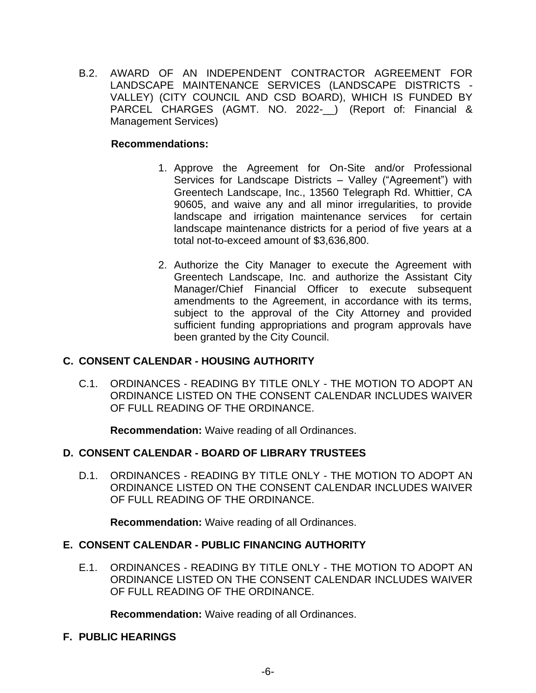B.2. AWARD OF AN INDEPENDENT CONTRACTOR AGREEMENT FOR LANDSCAPE MAINTENANCE SERVICES (LANDSCAPE DISTRICTS - VALLEY) (CITY COUNCIL AND CSD BOARD), WHICH IS FUNDED BY PARCEL CHARGES (AGMT. NO. 2022-\_) (Report of: Financial & Management Services)

## **Recommendations:**

- 1. Approve the Agreement for On-Site and/or Professional Services for Landscape Districts – Valley ("Agreement") with Greentech Landscape, Inc., 13560 Telegraph Rd. Whittier, CA 90605, and waive any and all minor irregularities, to provide landscape and irrigation maintenance services for certain landscape maintenance districts for a period of five years at a total not-to-exceed amount of \$3,636,800.
- 2. Authorize the City Manager to execute the Agreement with Greentech Landscape, Inc. and authorize the Assistant City Manager/Chief Financial Officer to execute subsequent amendments to the Agreement, in accordance with its terms, subject to the approval of the City Attorney and provided sufficient funding appropriations and program approvals have been granted by the City Council.

## **C. CONSENT CALENDAR - HOUSING AUTHORITY**

C.1. ORDINANCES - READING BY TITLE ONLY - THE MOTION TO ADOPT AN ORDINANCE LISTED ON THE CONSENT CALENDAR INCLUDES WAIVER OF FULL READING OF THE ORDINANCE.

**Recommendation:** Waive reading of all Ordinances.

## **D. CONSENT CALENDAR - BOARD OF LIBRARY TRUSTEES**

D.1. ORDINANCES - READING BY TITLE ONLY - THE MOTION TO ADOPT AN ORDINANCE LISTED ON THE CONSENT CALENDAR INCLUDES WAIVER OF FULL READING OF THE ORDINANCE.

**Recommendation:** Waive reading of all Ordinances.

## **E. CONSENT CALENDAR - PUBLIC FINANCING AUTHORITY**

E.1. ORDINANCES - READING BY TITLE ONLY - THE MOTION TO ADOPT AN ORDINANCE LISTED ON THE CONSENT CALENDAR INCLUDES WAIVER OF FULL READING OF THE ORDINANCE.

**Recommendation:** Waive reading of all Ordinances.

## **F. PUBLIC HEARINGS**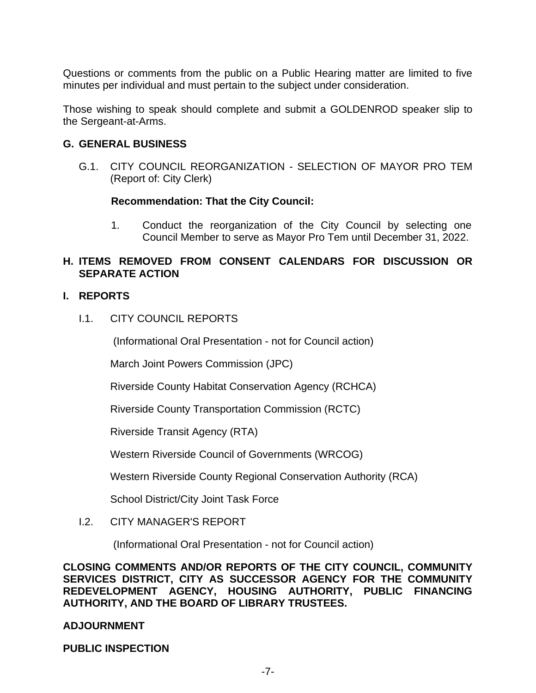Questions or comments from the public on a Public Hearing matter are limited to five minutes per individual and must pertain to the subject under consideration.

Those wishing to speak should complete and submit a GOLDENROD speaker slip to the Sergeant-at-Arms.

#### **G. GENERAL BUSINESS**

G.1. CITY COUNCIL REORGANIZATION - SELECTION OF MAYOR PRO TEM (Report of: City Clerk)

#### **Recommendation: That the City Council:**

1. Conduct the reorganization of the City Council by selecting one Council Member to serve as Mayor Pro Tem until December 31, 2022.

## **H. ITEMS REMOVED FROM CONSENT CALENDARS FOR DISCUSSION OR SEPARATE ACTION**

#### **I. REPORTS**

I.1. CITY COUNCIL REPORTS

(Informational Oral Presentation - not for Council action)

March Joint Powers Commission (JPC)

Riverside County Habitat Conservation Agency (RCHCA)

Riverside County Transportation Commission (RCTC)

Riverside Transit Agency (RTA)

Western Riverside Council of Governments (WRCOG)

Western Riverside County Regional Conservation Authority (RCA)

School District/City Joint Task Force

#### I.2. CITY MANAGER'S REPORT

(Informational Oral Presentation - not for Council action)

**CLOSING COMMENTS AND/OR REPORTS OF THE CITY COUNCIL, COMMUNITY SERVICES DISTRICT, CITY AS SUCCESSOR AGENCY FOR THE COMMUNITY REDEVELOPMENT AGENCY, HOUSING AUTHORITY, PUBLIC FINANCING AUTHORITY, AND THE BOARD OF LIBRARY TRUSTEES.**

#### **ADJOURNMENT**

**PUBLIC INSPECTION**